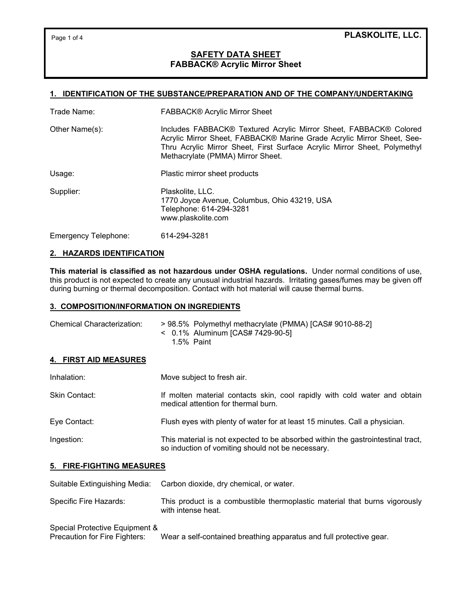Page 1 of 4

## **PLASKOLITE, LLC.**

## **SAFETY DATA SHEET FABBACK® Acrylic Mirror Sheet**

## **1. IDENTIFICATION OF THE SUBSTANCE/PREPARATION AND OF THE COMPANY/UNDERTAKING**

| Trade Name:          | FABBACK® Acrylic Mirror Sheet                                                                                                                                                                                                                                 |
|----------------------|---------------------------------------------------------------------------------------------------------------------------------------------------------------------------------------------------------------------------------------------------------------|
| Other Name(s):       | Includes FABBACK® Textured Acrylic Mirror Sheet, FABBACK® Colored<br>Acrylic Mirror Sheet, FABBACK® Marine Grade Acrylic Mirror Sheet, See-<br>Thru Acrylic Mirror Sheet, First Surface Acrylic Mirror Sheet, Polymethyl<br>Methacrylate (PMMA) Mirror Sheet. |
| Usage:               | Plastic mirror sheet products                                                                                                                                                                                                                                 |
| Supplier:            | Plaskolite, LLC.<br>1770 Joyce Avenue, Columbus, Ohio 43219, USA<br>Telephone: 614-294-3281<br>www.plaskolite.com                                                                                                                                             |
| Emergency Telephone: | 614-294-3281                                                                                                                                                                                                                                                  |

### **2. HAZARDS IDENTIFICATION**

**This material is classified as not hazardous under OSHA regulations.** Under normal conditions of use, this product is not expected to create any unusual industrial hazards. Irritating gases/fumes may be given off during burning or thermal decomposition. Contact with hot material will cause thermal burns.

### **3. COMPOSITION/INFORMATION ON INGREDIENTS**

| Chemical Characterization: | > 98.5% Polymethyl methacrylate (PMMA) [CAS# 9010-88-2] |
|----------------------------|---------------------------------------------------------|
|                            | < 0.1% Aluminum [CAS# 7429-90-5]                        |
|                            | 1.5% Paint                                              |

## **4. FIRST AID MEASURES**

| Inhalation:          | Move subject to fresh air.                                                                                                           |
|----------------------|--------------------------------------------------------------------------------------------------------------------------------------|
| <b>Skin Contact:</b> | If molten material contacts skin, cool rapidly with cold water and obtain<br>medical attention for thermal burn.                     |
| Eye Contact:         | Flush eyes with plenty of water for at least 15 minutes. Call a physician.                                                           |
| Ingestion:           | This material is not expected to be absorbed within the gastrointestinal tract,<br>so induction of vomiting should not be necessary. |

### **5. FIRE-FIGHTING MEASURES**

Suitable Extinguishing Media: Carbon dioxide, dry chemical, or water.

Specific Fire Hazards: This product is a combustible thermoplastic material that burns vigorously with intense heat.

# Special Protective Equipment & Precaution for Fire Fighters: Wear a self-contained breathing apparatus and full protective gear.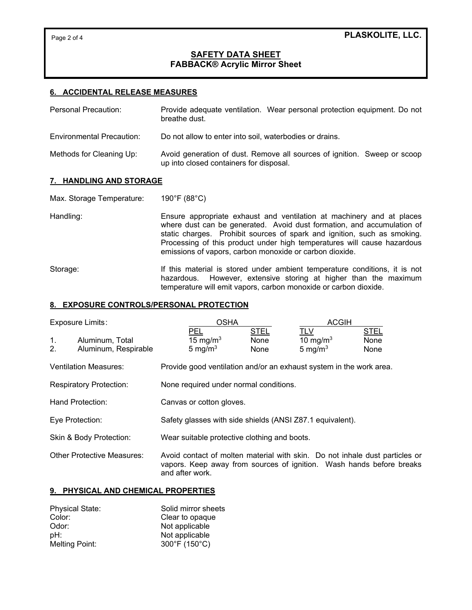# **SAFETY DATA SHEET FABBACK® Acrylic Mirror Sheet**

## **6. ACCIDENTAL RELEASE MEASURES**

| Personal Precaution:      | Provide adequate ventilation. Wear personal protection equipment. Do not<br>breathe dust.                           |
|---------------------------|---------------------------------------------------------------------------------------------------------------------|
| Environmental Precaution: | Do not allow to enter into soil, waterbodies or drains.                                                             |
| Methods for Cleaning Up:  | Avoid generation of dust. Remove all sources of ignition. Sweep or scoop<br>up into closed containers for disposal. |

#### **7. HANDLING AND STORAGE**

Max. Storage Temperature: 190°F (88°C)

Handling: Ensure appropriate exhaust and ventilation at machinery and at places where dust can be generated. Avoid dust formation, and accumulation of static charges. Prohibit sources of spark and ignition, such as smoking. Processing of this product under high temperatures will cause hazardous emissions of vapors, carbon monoxide or carbon dioxide.

Storage: If this material is stored under ambient temperature conditions, it is not hazardous. However, extensive storing at higher than the maximum temperature will emit vapors, carbon monoxide or carbon dioxide.

### **8. EXPOSURE CONTROLS/PERSONAL PROTECTION**

| Exposure Limits:     |                                         | <b>OSHA</b>                                                                                                                                                            |                             | <b>ACGIH</b>                            |                             |
|----------------------|-----------------------------------------|------------------------------------------------------------------------------------------------------------------------------------------------------------------------|-----------------------------|-----------------------------------------|-----------------------------|
| 1 <sub>1</sub><br>2. | Aluminum, Total<br>Aluminum, Respirable | <b>PEL</b><br>15 mg/m $3$<br>5 mg/ $m3$                                                                                                                                | <b>STEL</b><br>None<br>None | <b>TLV</b><br>10 mg/m $3$<br>5 mg/ $m3$ | <b>STEL</b><br>None<br>None |
|                      | <b>Ventilation Measures:</b>            | Provide good ventilation and/or an exhaust system in the work area.                                                                                                    |                             |                                         |                             |
|                      | <b>Respiratory Protection:</b>          | None required under normal conditions.                                                                                                                                 |                             |                                         |                             |
|                      | Hand Protection:                        | Canvas or cotton gloves.                                                                                                                                               |                             |                                         |                             |
|                      | Eye Protection:                         | Safety glasses with side shields (ANSI Z87.1 equivalent).                                                                                                              |                             |                                         |                             |
|                      | Skin & Body Protection:                 | Wear suitable protective clothing and boots.                                                                                                                           |                             |                                         |                             |
|                      | <b>Other Protective Measures:</b>       | Avoid contact of molten material with skin. Do not inhale dust particles or<br>vapors. Keep away from sources of ignition. Wash hands before breaks<br>and after work. |                             |                                         |                             |

### **9. PHYSICAL AND CHEMICAL PROPERTIES**

| <b>Physical State:</b> | Solid mirror sheets |
|------------------------|---------------------|
| Color:                 | Clear to opaque     |
| Odor:                  | Not applicable      |
| pH:                    | Not applicable      |
| <b>Melting Point:</b>  | 300°F (150°C)       |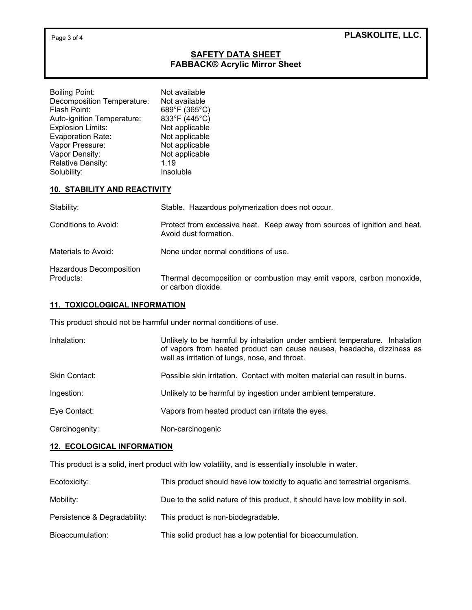# **SAFETY DATA SHEET FABBACK® Acrylic Mirror Sheet**

| <b>Boiling Point:</b>      | Not available  |
|----------------------------|----------------|
| Decomposition Temperature: | Not available  |
| Flash Point:               | 689°F (365°C)  |
| Auto-ignition Temperature: | 833°F (445°C)  |
| <b>Explosion Limits:</b>   | Not applicable |
| <b>Evaporation Rate:</b>   | Not applicable |
| Vapor Pressure:            | Not applicable |
| Vapor Density:             | Not applicable |
| Relative Density:          | 1.19           |
| Solubility:                | Insoluble      |

## **10. STABILITY AND REACTIVITY**

| Stability:                           | Stable. Hazardous polymerization does not occur.                                                   |
|--------------------------------------|----------------------------------------------------------------------------------------------------|
| Conditions to Avoid:                 | Protect from excessive heat. Keep away from sources of ignition and heat.<br>Avoid dust formation. |
| Materials to Avoid:                  | None under normal conditions of use.                                                               |
| Hazardous Decomposition<br>Products: | Thermal decomposition or combustion may emit vapors, carbon monoxide,<br>or carbon dioxide.        |

## **11. TOXICOLOGICAL INFORMATION**

This product should not be harmful under normal conditions of use.

| Inhalation:    | Unlikely to be harmful by inhalation under ambient temperature. Inhalation<br>of vapors from heated product can cause nausea, headache, dizziness as<br>well as irritation of lungs, nose, and throat. |
|----------------|--------------------------------------------------------------------------------------------------------------------------------------------------------------------------------------------------------|
| Skin Contact:  | Possible skin irritation. Contact with molten material can result in burns.                                                                                                                            |
| Ingestion:     | Unlikely to be harmful by ingestion under ambient temperature.                                                                                                                                         |
| Eye Contact:   | Vapors from heated product can irritate the eyes.                                                                                                                                                      |
| Carcinogenity: | Non-carcinogenic                                                                                                                                                                                       |

## **12. ECOLOGICAL INFORMATION**

This product is a solid, inert product with low volatility, and is essentially insoluble in water.

| Ecotoxicity: |  |  | This product should have low toxicity to aguatic and terrestrial organisms. |
|--------------|--|--|-----------------------------------------------------------------------------|
|              |  |  |                                                                             |

- Mobility: Mobility: Due to the solid nature of this product, it should have low mobility in soil.
- Persistence & Degradability: This product is non-biodegradable.
- Bioaccumulation: This solid product has a low potential for bioaccumulation.